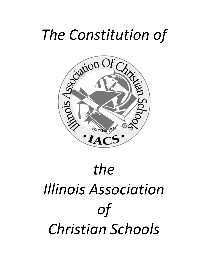# *The Constitution of*



# *the Illinois Association of Christian Schools*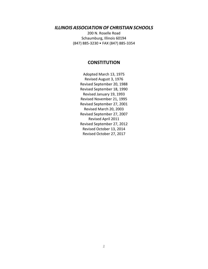# *ILLINOIS ASSOCIATION OF CHRISTIAN SCHOOLS*

200 N. Roselle Road Schaumburg, Illinois 60194 (847) 885-3230 • FAX (847) 885-3354

# **CONSTITUTION**

Adopted March 13, 1975 Revised August 3, 1976 Revised September 20, 1988 Revised September 18, 1990 Revised January 19, 1993 Revised November 21, 1995 Revised September 27, 2001 Revised March 20, 2003 Revised September 27, 2007 Revised April 2011 Revised September 27, 2012 Revised October 13, 2014 Revised October 27, 2017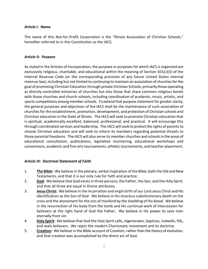#### *Article I: Name*

The name of this Not-for-Profit Corporation is the "Illinois Association of Christian Schools," hereafter referred to in this Constitution as the IACS.

#### *Article II: Purpose*

As stated in the Articles of Incorporation, the purpose or purposes for which IACS is organized are exclusively religious, charitable, and educational within the meaning of Section 501(c)(3) of the Internal Revenue Code (or the corresponding provision of any future United States internal revenue law), including but not limited to continuing to maintain an association of churches for the goal of promoting Christian Education through private Christian Schools, primarily those operating as directly-controlled ministries of churches but also those that share common religious bonds with those churches and church schools, including coordination of academic, music, artistic, and sports competitions among member schools. To extend that purpose statement for greater clarity, the general purposes and objectives of the IACS shall be the maintenance of such association of churches for the establishment, promotion, development, and protection of Christian schools and Christian education in the State of Illinois. The IACS will seek to promote Christian education that is spiritual, academically excellent, balanced, professional, and practical. It will encourage this through coordinated services and leadership. The IACS will seek to protect the rights of parents to choose Christian education and will seek to inform its members regarding potential threats to those parental freedoms. The IACS will also serve its member churches and schools in the areas of educational consultation, publications, legislative monitoring, educational workshops and conventions, academic and fine arts tournaments, athletic tournaments, and teacher placement.

#### *Article III: Doctrinal Statement of Faith*

- 1. **The Bible:** We believe in the plenary, verbal inspiration of the Bible, both the Old and New Testaments, and that it is our only rule for faith and practice.
- 2. **God:** We believe that God exists in three persons, the Father, the Son, and the Holy Spirit, and that all three are equal in Divine attributes.
- 3. **Jesus Christ:** We believe in the incarnation and virgin birth of our Lord Jesus Christ and His identification as the Son of God. We believe in His vicarious substitutionary death on the cross and the atonement for the sins of mankind by the shedding of His blood. We believe in the resurrection of His body from the tomb and His continual work of intercession for believers at the right hand of God the Father. We believe in His power to save men eternally from sin.
- 4. **Holy Spirit:** We believe that God the Holy Spirit calls, regenerates, baptizes, indwells, fills, and seals believers. We reject the modern Charismatic movement and its doctrine.
- 5. **Creation:** We believe in the Bible account of Creation, rather than the theory of evolution, and that creation was accomplished by the direct act of God.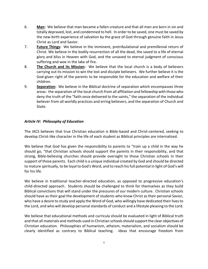- 6. **Man:** We believe that man became a fallen creature and that all men are born in sin and totally depraved, lost, and condemned to hell. In order to be saved, one must be saved by the new-birth experience of salvation by the grace of God through genuine faith in Jesus Christ as Lord and Savior.
- 7. **Future Things:** We believe in the imminent, pretribulational and premillenial return of Christ. We believe in the bodily resurrection of all the dead, the saved to a life of eternal glory and bliss in Heaven with God, and the unsaved to eternal judgment of conscious suffering and woe in the lake of fire.
- 8. **The Church and its Mission:** We believe that the local church is a body of believers carrying out its mission to win the lost and disciple believers. We further believe it is the God-given right of the parents to be responsible for the education and welfare of their children.
- 9. **Separation:** We believe in the Biblical doctrine of separation which encompasses three areas: the separation of the local church from all affiliation and fellowship with those who deny the truth of the "faith once delivered to the saints," the separation of the individual believer from all worldly practices and erring believers, and the separation of Church and State.

#### *Article IV: Philosophy of Education*

The IACS believes that true Christian education is Bible-based and Christ-centered, seeking to develop Christ-like character in the life of each student as Biblical principles are internalized.

We believe that God has given the responsibility to parents to "train up a child in the way he should go, "that Christian schools should support the parents in their responsibility, and that strong, Bible-believing churches should provide oversight to those Christian schools in their support of those parents. Each child is a unique individual created by God and should be directed to mature spiritually, to be loyal to God's Word, and to reach his full potential in light of God's will for his life.

We believe in traditional teacher-directed education, as opposed to progressive education's child-directed approach. Students should be challenged to think for themselves as they build Biblical convictions that will stand under the pressures of our modern culture. Christian schools should have as their goal the development of students who know Christ as their personal Savior, who have a desire to study and apply the Word of God, who willingly have dedicated their lives to the Lord, and who will develop personal standards of conduct and a lifestyle pleasing to the Lord.

We believe that educational methods and curricula should be evaluated in light of Biblical truth and that all materials and methods used in Christian schools should support the clear objectives of Christian education. Philosophies of humanism, atheism, materialism, and socialism should be clearly identified as contrary to Biblical teaching. Ideas that encourage freedom from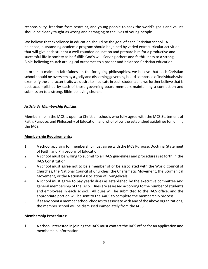responsibility, freedom from restraint, and young people to seek the world's goals and values should be clearly taught as wrong and damaging to the lives of young people

We believe that excellence in education should be the goal of each Christian school. A balanced, outstanding academic program should be joined by varied extracurricular activities that will give each student a well-rounded education and prepare him for a productive and successful life in society as he fulfills God's will. Serving others and faithfulness to a strong, Bible-believing church are logical outcomes to a proper and balanced Christian education.

In order to maintain faithfulness in the foregoing philosophies, we believe that each Christian school should be overseen by a godly and discerning governing board composed of individuals who exemplify the character traits we desire to inculcate in each student; and we further believe that is best accomplished by each of those governing board members maintaining a connection and submission to a strong, Bible-believing church.

# *Article V: Membership Policies*

Membership in the IACS is open to Christian schools who fully agree with the IACS Statement of Faith, Purpose, and Philosophy of Education, and who follow the established guidelines for joining the IACS.

#### **Membership Requirements:**

- 1. A school applying for membership must agree with the IACS Purpose, Doctrinal Statement of Faith, and Philosophy of Education.
- 2. A school must be willing to submit to all IACS guidelines and procedures set forth in the IACS Constitution.
- 3. A school must agree not to be a member of or be associated with the World Council of Churches, the National Council of Churches, the Charismatic Movement, the Ecumenical Movement, or the National Association of Evangelicals.
- 4. A school must agree to pay yearly dues as established by the executive committee and general membership of the IACS. Dues are assessed according to the number of students and employees in each school. All dues will be submitted to the IACS office, and the appropriate portion will be sent to the AACS to complete the membership process.
- 5. If at any point a member school chooses to associate with any of the above organizations, the member school will be dismissed immediately from the IACS.

#### **Membership Procedures:**

1. A school interested in joining the IACS must contact the IACS office for an application and membership information.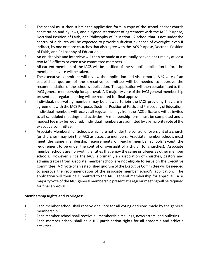- 2. The school must then submit the application form, a copy of the school and/or church constitution and by-laws, and a signed statement of agreement with the IACS Purpose, Doctrinal Position of Faith, and Philosophy of Education. A school that is not under the control of a church will be expected to provide sufficient evidence of oversight, even if indirect, by one or more churches that also agree with the IACS Purpose, Doctrinal Position of Faith, and Philosophy of Education.
- 3. An on-site visit and interview will then be made at a mutually convenient time by at least two IACS officers or executive committee members.
- 4. All current members of the IACS will be notified of the school's application before the membership vote will be taken.
- 5. The executive committee will review the application and visit report. A 34 vote of an established quorum of the executive committee will be needed to approve the recommendation of the school's application. The application will then be submitted to the IACS general membership for approval. A  $\frac{3}{4}$  majority vote of the IACS general membership present at a regular meeting will be required for final approval.
- 6. Individual, non-voting members may be allowed to join the IACS providing they are in agreement with the IACS Purpose, Doctrinal Position of Faith, and Philosophy of Education. Individual members will receive all regular mailings from the IACS office and will be invited to all scheduled meetings and activities. A membership form must be completed and a modest fee may be required. Individual members are admitted by a ¾ majority vote of the executive committee.
- 7. Associate Membership: Schools which are not under the control or oversight of a church (or churches) may join the IACS as associate members. Associate member schools must meet the same membership requirements of regular member schools except the requirement to be under the control or oversight of a church (or churches). Associate member schools are non-voting entities that enjoy the same privileges as other member schools. However, since the IACS is primarily an association of churches, pastors and administrators from associate member school are not eligible to serve on the Executive Committee. A ¾ vote of an established quorum of the Executive Committee will be needed to approve the recommendation of the associate member school's application. The application will then be submitted to the IACS general membership for approval. A  $\frac{3}{4}$ majority vote of the IACS general membership present at a regular meeting will be required for final approval.

#### **Membership Rights and Privileges:**

- 1. Each member school shall receive one vote for all voting decisions made by the general membership.
- 2. Each member school shall receive all membership mailings, newsletters, and bulletins.
- 3. Each member school shall have full participation rights for all academic and athletic activities.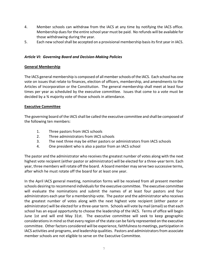- 4. Member schools can withdraw from the IACS at any time by notifying the IACS office. Membership duesfor the entire school year must be paid. No refunds will be available for those withdrawing during the year.
- 5. Each new school shall be accepted on a provisional membership basis its first year in IACS.

# *Article VI: Governing Board and Decision-Making Policies*

# **General Membership**

The IACS general membership is composed of all member schools of the IACS. Each school has one vote on issues that relate to finances, election of officers, membership, and amendments to the Articles of Incorporation or the Constitution. The general membership shall meet at least four times per year as scheduled by the executive committee. Issues that come to a vote must be decided by a ¾ majority vote of those schools in attendance.

#### **Executive Committee**

The governing board of the IACS shall be called the executive committee and shall be composed of the following ten members:

- 1. Three pastors from IACS schools
- 2. Three administrators from IACS schools
- 3. The next three may be either pastors or administrators from IACS schools
- 4. One president who is also a pastor from an IACS school

The pastor and the administrator who receives the greatest number of votes along with the next highest vote recipient (either pastor or administrator) will be elected for a three-year term. Each year, three members will rotate off the board. A board member may serve two successive terms, after which he must rotate off the board for at least one year.

In the April IACS general meeting, nomination forms will be received from all present member schools desiring to recommend individuals for the executive committee. The executive committee will evaluate the nominations and submit the names of at least four pastors and four administrators each year for a membership vote. The pastor and the administrator who receives the greatest number of votes along with the next highest vote recipient (either pastor or administrator) will be elected for a three-year term. Schools will vote by mail (email) so that each school has an equal opportunity to choose the leadership of the IACS. Terms of office will begin June 1st and will end May 31st. The executive committee will seek to keep geographic considerations in mind so that every region of the state can be fairly represented on the executive committee. Other factors considered will be experience, faithfulness to meetings, participation in IACS activities and programs, and leadership qualities. Pastors and administrators from associate member schools are not eligible to serve on the Executive Committee.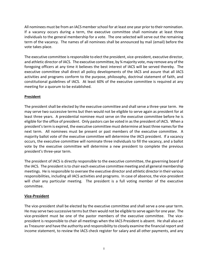All nominees must be from an IACS member school for at least one year prior to their nomination. If a vacancy occurs during a term, the executive committee shall nominate at least three individuals to the general membership for a vote. The one selected will serve out the remaining term of the vacancy. The names of all nominees shall be announced by mail (email) before the vote takes place.

The executive committee is responsible to elect the president, vice-president, executive director, and athletic director of IACS. The executive committee, by ¾ majority vote, may remove any of the foregoing officers at any time it believes the best interest of IACS will be served thereby. The executive committee shall direct all policy developments of the IACS and assure that all IACS activities and programs conform to the purpose, philosophy, doctrinal statement of faith, and constitutional guidelines of IACS. At least 60% of the executive committee is required at any meeting for a quorum to be established.

# **President**

The president shall be elected by the executive committee and shall serve a three-year term. He may serve two successive terms but then would not be eligible to serve again as president for at least three years. A presidential nominee must serve on the executive committee before he is eligible for the office of president. Only pastors can be voted in as the president of IACS. When a president's term is expired, the executive committee must determine at least three names for the next term. All nominees must be present or past members of the executive committee. A majority ballot vote of the executive committee will determine the IACS president. If a vacancy occurs, the executive committee will nominate three individuals to fill the vacancy, and a ballot vote by the executive committee will determine a new president to complete the previous president's three-year term.

The president of IACS is directly responsible to the executive committee, the governing board of the IACS. The president is to chair each executive committee meeting and all general membership meetings. He is responsible to oversee the executive director and athletic director in their various responsibilities, including all IACS activities and programs. In case of absence, the vice-president will chair any particular meeting. The president is a full voting member of the executive committee.

#### **Vice-President**

The vice-president shall be elected by the executive committee and shall serve a one-year term. He may serve two successive terms but then would not be eligible to serve again for one year. The vice-president must be one of the pastor members of the executive committee. The vicepresident is responsible to chair all meetings when the IACS President is absent. He shall also act as Treasurer and have the authority and responsibility to closely examine the financial report and income statement, to review the IACS check register for salary and all other payments, and any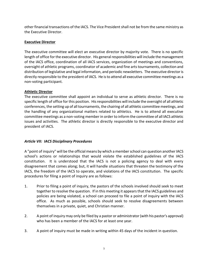other financial transactions of the IACS. The Vice President shall not be from the same ministry as the Executive Director.

# **Executive Director**

The executive committee will elect an executive director by majority vote. There is no specific length of office for the executive director. His general responsibilities will include the management of the IACS office, coordination of all IACS services, organization of meetings and conventions, oversight of athletic programs, coordinator of academic and fine arts tournaments, collection and distribution of legislative and legal information, and periodic newsletters. The executive director is directly responsible to the president of IACS. He is to attend all executive committee meetings as a non-voting participant.

# **Athletic Director**

The executive committee shall appoint an individual to serve as athletic director. There is no specific length of office for this position. His responsibilities will include the oversight of all athletic conferences, the setting up of all tournaments, the chairing of all athletic committee meetings, and the handling of any organizational matters related to athletics. He is to attend all executive committee meetings as a non-voting member in order to inform the committee of all IACS athletic issues and activities. The athletic director is directly responsible to the executive director and president of IACS.

# *Article VII: IACS Disciplinary Procedures*

A "point of inquiry" will be the official means by which a member school can question another IACS school's actions or relationships that would violate the established guidelines of the IACS constitution. It is understood that the IACS is not a policing agency to deal with every disagreement that comes along; but, it will handle situations that threaten the testimony of the IACS, the freedom of the IACS to operate, and violations of the IACS constitution. The specific procedures for filing a point of inquiry are as follows:

- 1. Prior to filing a point of inquiry, the pastors of the schools involved should seek to meet together to resolve the question. If in this meeting it appears that the IACS guidelines and policies are being violated, a school can proceed to file a point of inquiry with the IACS office. As much as possible, schools should seek to resolve disagreements between themselves in a private, quiet, and Christian manner.
- 2. A point of inquiry may only be filed by a pastor or administrator (with his pastor's approval) who has been a member of the IACS for at least one year.
- 3. A point of inquiry must be made in writing within 45 days of the incident in question.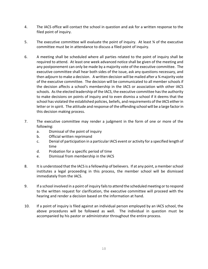- 4. The IACS office will contact the school in question and ask for a written response to the filed point of inquiry.
- 5. The executive committee will evaluate the point of inquiry. At least 34 of the executive committee must be in attendance to discuss a filed point of inquiry.
- 6. A meeting shall be scheduled where all parties related to the point of inquiry shall be required to attend. At least one week advanced notice shall be given of the meeting and any postponement can only be made by a majority vote of the executive committee. The executive committee shall hear both sides of the issue, ask any questions necessary, and then adjourn to make a decision. A written decision will be mailed after a ¾ majority vote of the executive committee. The decision will be communicated to all member schools if the decision affects a school's membership in the IACS or association with other IACS schools. As the elected leadership of the IACS, the executive committee has the authority to make decisions on points of inquiry and to even dismiss a school if it deems that the school has violated the established policies, beliefs, and requirements of the IACS either in letter or in spirit. The attitude and response of the offending school will be a large factor in this decision making process.
- 7. The executive committee may render a judgment in the form of one or more of the following:
	- a. Dismissal of the point of inquiry
	- b. Official written reprimand
	- c. Denial of participation in a particular IACS event or activity for a specified length of time
	- d. Probation for a specific period of time
	- e. Dismissal from membership in the IACS
- 8. It is understood that the IACS is a fellowship of believers. If at any point, a member school institutes a legal proceeding in this process, the member school will be dismissed immediately from the IACS.
- 9. If a school involved in a point of inquiry fails to attend the scheduled meeting or to respond to the written request for clarification, the executive committee will proceed with the hearing and render a decision based on the information at hand.
- 10. If a point of inquiry is filed against an individual person employed by an IACS school, the above procedures will be followed as well. The individual in question must be accompanied by his pastor or administrator throughout the entire process.